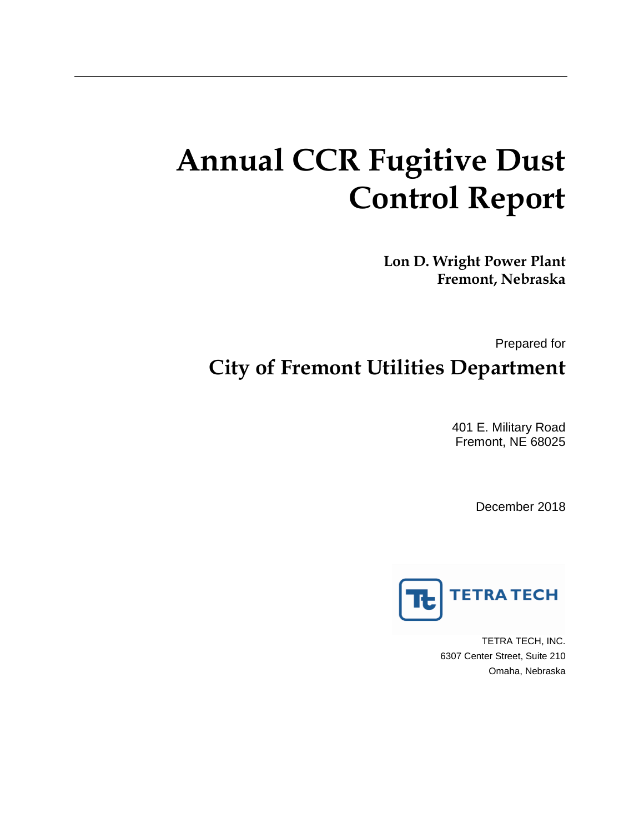# **Annual CCR Fugitive Dust Control Report**

**Lon D. Wright Power Plant Fremont, Nebraska**

Prepared for **City of Fremont Utilities Department**

> 401 E. Military Road Fremont, NE 68025

> > December 2018



TETRA TECH, INC. 6307 Center Street, Suite 210 Omaha, Nebraska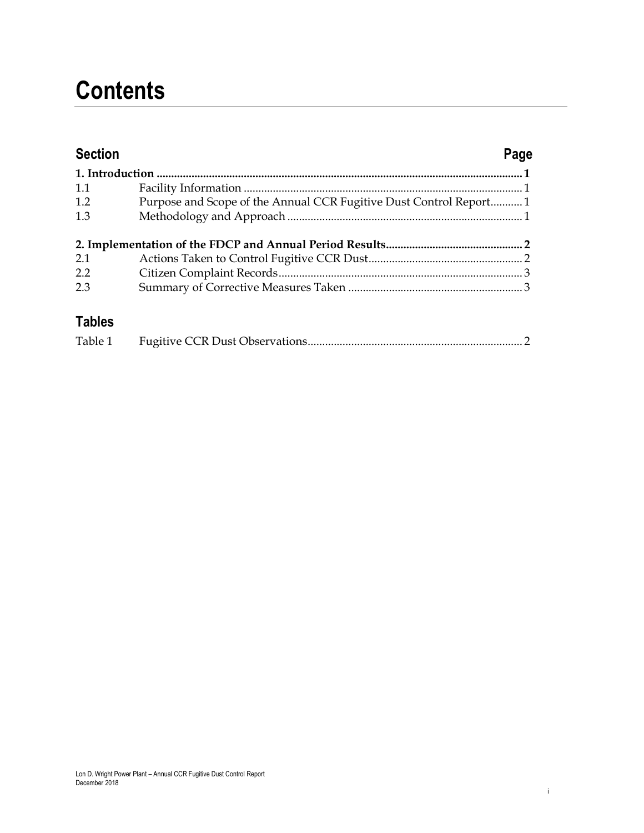## **Contents**

| <b>Section</b> |                                                                   | Page |
|----------------|-------------------------------------------------------------------|------|
|                |                                                                   |      |
| 1.1            |                                                                   |      |
| 1.2            | Purpose and Scope of the Annual CCR Fugitive Dust Control Report1 |      |
| 1.3            |                                                                   |      |
|                |                                                                   |      |
| 2.1            |                                                                   |      |
| 2.2            |                                                                   |      |
| 2.3            |                                                                   |      |
| <b>Tobloc</b>  |                                                                   |      |

#### **Tables**

| Table 1 |  |  |  |
|---------|--|--|--|
|---------|--|--|--|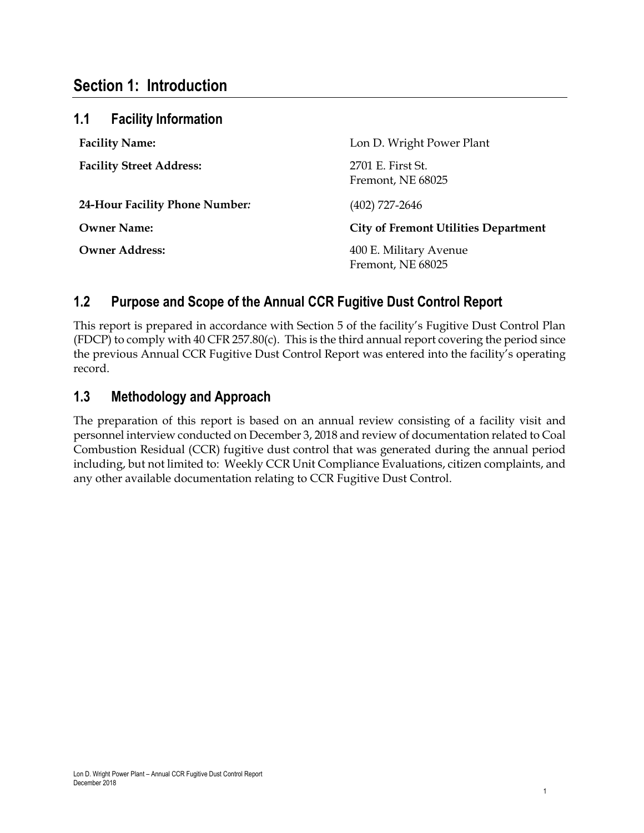#### **Section 1: Introduction**

| 1.1<br><b>Facility Information</b> |                                             |
|------------------------------------|---------------------------------------------|
| <b>Facility Name:</b>              | Lon D. Wright Power Plant                   |
| <b>Facility Street Address:</b>    | 2701 E. First St.<br>Fremont, NE 68025      |
| 24-Hour Facility Phone Number:     | $(402)$ 727-2646                            |
| <b>Owner Name:</b>                 | <b>City of Fremont Utilities Department</b> |
| <b>Owner Address:</b>              | 400 E. Military Avenue<br>Fremont, NE 68025 |

#### **1.2 Purpose and Scope of the Annual CCR Fugitive Dust Control Report**

This report is prepared in accordance with Section 5 of the facility's Fugitive Dust Control Plan (FDCP) to comply with 40 CFR 257.80(c). This is the third annual report covering the period since the previous Annual CCR Fugitive Dust Control Report was entered into the facility's operating record.

#### **1.3 Methodology and Approach**

The preparation of this report is based on an annual review consisting of a facility visit and personnel interview conducted on December 3, 2018 and review of documentation related to Coal Combustion Residual (CCR) fugitive dust control that was generated during the annual period including, but not limited to: Weekly CCR Unit Compliance Evaluations, citizen complaints, and any other available documentation relating to CCR Fugitive Dust Control.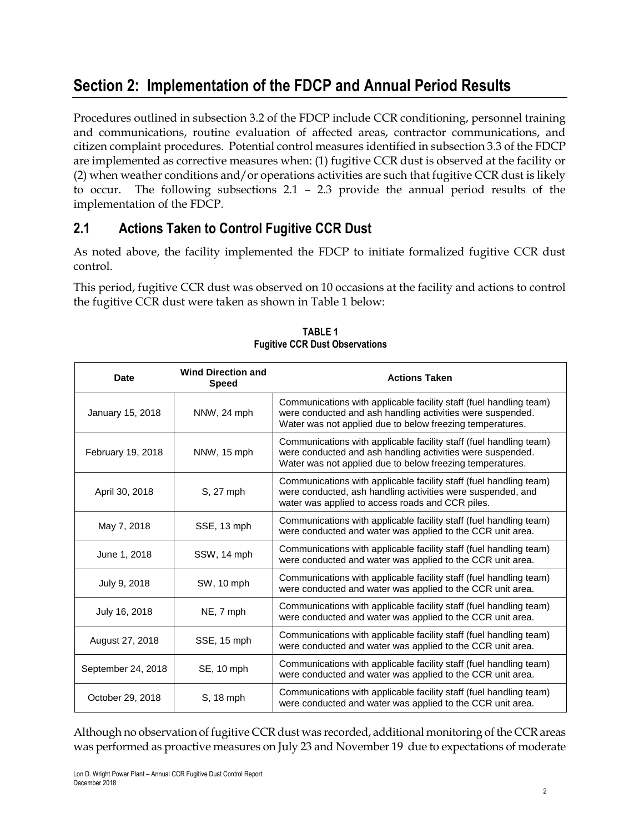### **Section 2: Implementation of the FDCP and Annual Period Results**

Procedures outlined in subsection 3.2 of the FDCP include CCR conditioning, personnel training and communications, routine evaluation of affected areas, contractor communications, and citizen complaint procedures. Potential control measures identified in subsection 3.3 of the FDCP are implemented as corrective measures when: (1) fugitive CCR dust is observed at the facility or (2) when weather conditions and/or operations activities are such that fugitive CCR dust is likely to occur. The following subsections 2.1 – 2.3 provide the annual period results of the implementation of the FDCP.

#### **2.1 Actions Taken to Control Fugitive CCR Dust**

As noted above, the facility implemented the FDCP to initiate formalized fugitive CCR dust control.

This period, fugitive CCR dust was observed on 10 occasions at the facility and actions to control the fugitive CCR dust were taken as shown in Table 1 below:

| <b>Date</b>        | <b>Wind Direction and</b><br><b>Speed</b> | <b>Actions Taken</b>                                                                                                                                                                          |
|--------------------|-------------------------------------------|-----------------------------------------------------------------------------------------------------------------------------------------------------------------------------------------------|
| January 15, 2018   | NNW, 24 mph                               | Communications with applicable facility staff (fuel handling team)<br>were conducted and ash handling activities were suspended.<br>Water was not applied due to below freezing temperatures. |
| February 19, 2018  | NNW, 15 mph                               | Communications with applicable facility staff (fuel handling team)<br>were conducted and ash handling activities were suspended.<br>Water was not applied due to below freezing temperatures. |
| April 30, 2018     | S. 27 mph                                 | Communications with applicable facility staff (fuel handling team)<br>were conducted, ash handling activities were suspended, and<br>water was applied to access roads and CCR piles.         |
| May 7, 2018        | SSE, 13 mph                               | Communications with applicable facility staff (fuel handling team)<br>were conducted and water was applied to the CCR unit area.                                                              |
| June 1, 2018       | SSW, 14 mph                               | Communications with applicable facility staff (fuel handling team)<br>were conducted and water was applied to the CCR unit area.                                                              |
| July 9, 2018       | <b>SW, 10 mph</b>                         | Communications with applicable facility staff (fuel handling team)<br>were conducted and water was applied to the CCR unit area.                                                              |
| July 16, 2018      | NE, 7 mph                                 | Communications with applicable facility staff (fuel handling team)<br>were conducted and water was applied to the CCR unit area.                                                              |
| August 27, 2018    | SSE, 15 mph                               | Communications with applicable facility staff (fuel handling team)<br>were conducted and water was applied to the CCR unit area.                                                              |
| September 24, 2018 | SE, 10 mph                                | Communications with applicable facility staff (fuel handling team)<br>were conducted and water was applied to the CCR unit area.                                                              |
| October 29, 2018   | S, 18 mph                                 | Communications with applicable facility staff (fuel handling team)<br>were conducted and water was applied to the CCR unit area.                                                              |

**TABLE 1 Fugitive CCR Dust Observations**

Although no observation of fugitive CCR dust was recorded, additional monitoring of the CCR areas was performed as proactive measures on July 23 and November 19 due to expectations of moderate